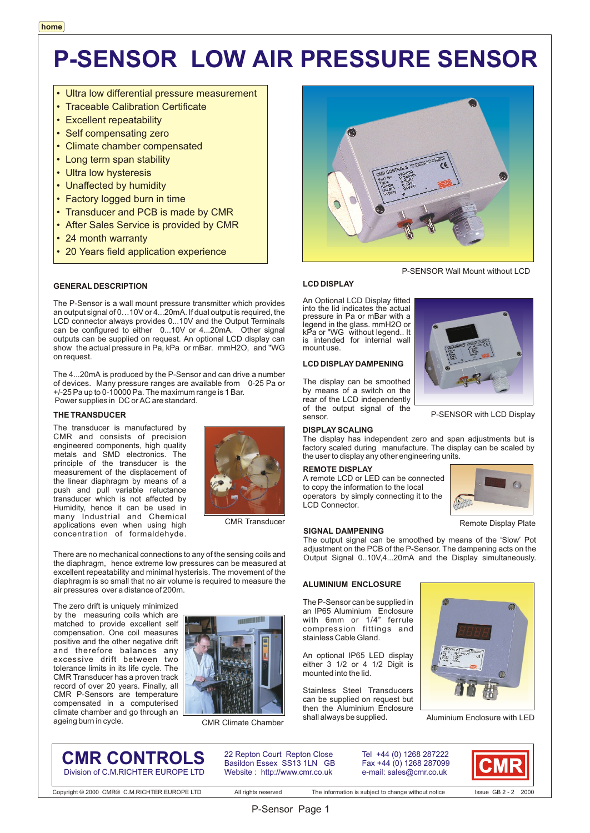# **P-SENSOR LOW AIR PRESSURE SENSOR**

- Ultra low differential pressure measurement
- Traceable Calibration Certificate
- Excellent repeatability
- Self compensating zero
- Climate chamber compensated
- Long term span stability
- Ultra low hysteresis
- Unaffected by humidity
- Factory logged burn in time
- Transducer and PCB is made by CMR
- After Sales Service is provided by CMR
- 24 month warranty
- 20 Years field application experience

#### **GENERAL DESCRIPTION**

The P-Sensor is a wall mount pressure transmitter which provides an output signal of 0…10V or 4...20mA. If dual output is required, the LCD connector always provides 0...10V and the Output Terminals can be configured to either 0...10V or 4...20mA. Other signal outputs can be supplied on request. An optional LCD display can show the actual pressure in Pa, kPa or mBar. mmH2O, and "WG on request.

The 4...20mA is produced by the P-Sensor and can drive a number of devices. Many pressure ranges are available from 0-25 Pa or +/-25 Pa up to 0-10000 Pa. The maximum range is 1 Bar. Power supplies in DC or AC are standard.

#### **THE TRANSDUCER**

The transducer is manufactured by CMR and consists of precision engineered components, high quality metals and SMD electronics. The principle of the transducer is the measurement of the displacement of the linear diaphragm by means of a push and pull variable reluctance transducer which is not affected by Humidity, hence it can be used in many Industrial and Chemical applications even when using high concentration of formaldehyde.



CMR Transducer

There are no mechanical connections to any of the sensing coils and the diaphragm, hence extreme low pressures can be measured at excellent repeatability and minimal hysterisis. The movement of the diaphragm is so small that no air volume is required to measure the air pressures over a distance of 200m.

The zero drift is uniquely minimized by the measuring coils which are matched to provide excellent self compensation. One coil measures positive and the other negative drift and therefore balances any excessive drift between two tolerance limits in its life cycle. The CMR Transducer has a proven track record of over 20 years. Finally, all CMR P-Sensors are temperature compensated in a computerised climate chamber and go through an ageing burn in cycle.



CMR Climate Chamber



#### **LCD DISPLAY**

An Optional LCD Display fitted into the lid indicates the actual pressure in Pa or mBar with a legend in the glass. mmH2O or kPa or "WG without legend.. It is intended for internal wall mount use.

#### **LCD DISPLAY DAMPENING**

The display can be smoothed by means of a switch on the rear of the LCD independently of the output signal of the sensor.

#### **DISPLAY SCALING**

The display has independent zero and span adjustments but is factory scaled during manufacture. The display can be scaled by the user to display any other engineering units.

#### **REMOTE DISPLAY**

**SIGNAL DAMPENING**

A remote LCD or LED can be connected to copy the information to the local operators by simply connecting it to the LCD Connector.



P-SENSOR with LCD Display

Remote Display Plate

The output signal can be smoothed by means of the 'Slow' Pot adjustment on the PCB of the P-Sensor. The dampening acts on the Output Signal 0..10V,4...20mA and the Display simultaneously.

#### **ALUMINIUM ENCLOSURE**

The P-Sensor can be supplied in an IP65 Aluminium Enclosure with 6mm or 1/4" ferrule compression fittings and stainless Cable Gland.

An optional IP65 LED display either 3 1/2 or 4 1/2 Digit is mounted into the lid.

Stainless Steel Transducers can be supplied on request but then the Aluminium Enclosure shall always be supplied.



Aluminium Enclosure with LED

**CMR CONTROLS** Division of C.M.RICHTER EUROPE LTD 22 Repton Court Repton Close Basildon Essex SS13 1LN GB Website : http://www.cmr.co.uk

Tel +44 (0) 1268 287222 Fax +44 (0) 1268 287099 e-mail: sales@cmr.co.uk



Copyright © 2000 CMR® C.M.RICHTER EUROPE LTD All rights reserved The information is subject to change without notice Issue GB 2 - 2 2000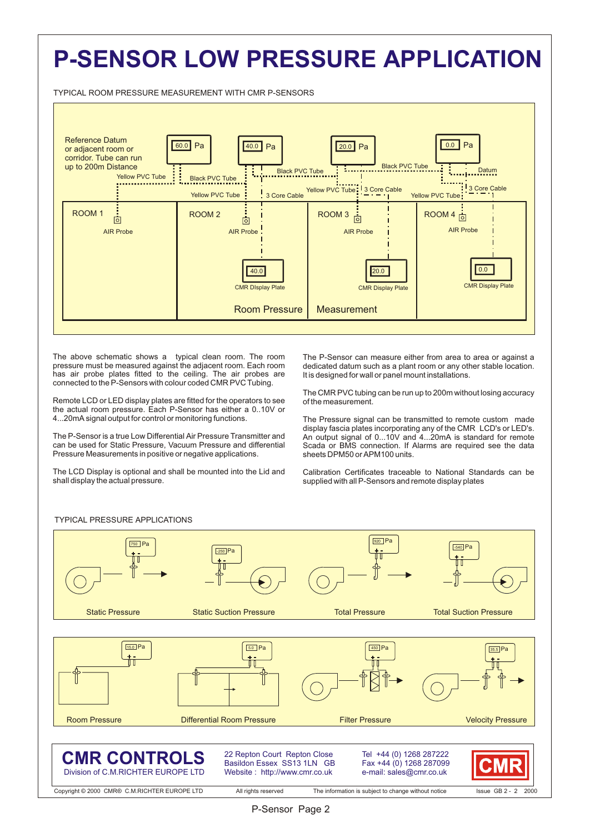## **P-SENSOR LOW PRESSURE APPLICATION**

TYPICAL ROOM PRESSURE MEASUREMENT WITH CMR P-SENSORS



The above schematic shows a typical clean room. The room pressure must be measured against the adjacent room. Each room has air probe plates fitted to the ceiling. The air probes are connected to the P-Sensors with colour coded CMR PVC Tubing.

Remote LCD or LED display plates are fitted for the operators to see the actual room pressure. Each P-Sensor has either a 0..10V or 4...20mA signal output for control or monitoring functions.

The P-Sensor is a true Low Differential Air Pressure Transmitter and can be used for Static Pressure, Vacuum Pressure and differential Pressure Measurements in positive or negative applications.

The LCD Display is optional and shall be mounted into the Lid and shall display the actual pressure.

The P-Sensor can measure either from area to area or against a dedicated datum such as a plant room or any other stable location. It is designed for wall or panel mount installations.

The CMR PVC tubing can be run up to 200m without losing accuracy of the measurement.

The Pressure signal can be transmitted to remote custom made display fascia plates incorporating any of the CMR LCD's or LED's. An output signal of 0...10V and 4...20mA is standard for remote Scada or BMS connection. If Alarms are required see the data sheets DPM50 or APM100 units.

Calibration Certificates traceable to National Standards can be supplied with all P-Sensors and remote display plates



TYPICAL PRESSURE APPLICATIONS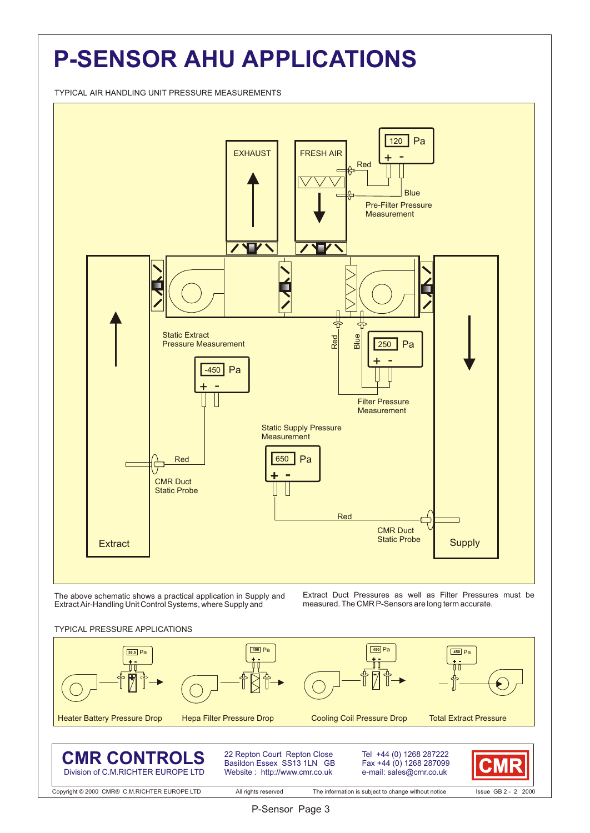## **P-SENSOR AHU APPLICATIONS**

TYPICAL AIR HANDLING UNIT PRESSURE MEASUREMENTS



The above schematic shows a practical application in Supply and Extract Air-Handling Unit Control Systems, where Supply and

Extract Duct Pressures as well as Filter Pressures must be measured. The CMR P-Sensors are long term accurate.





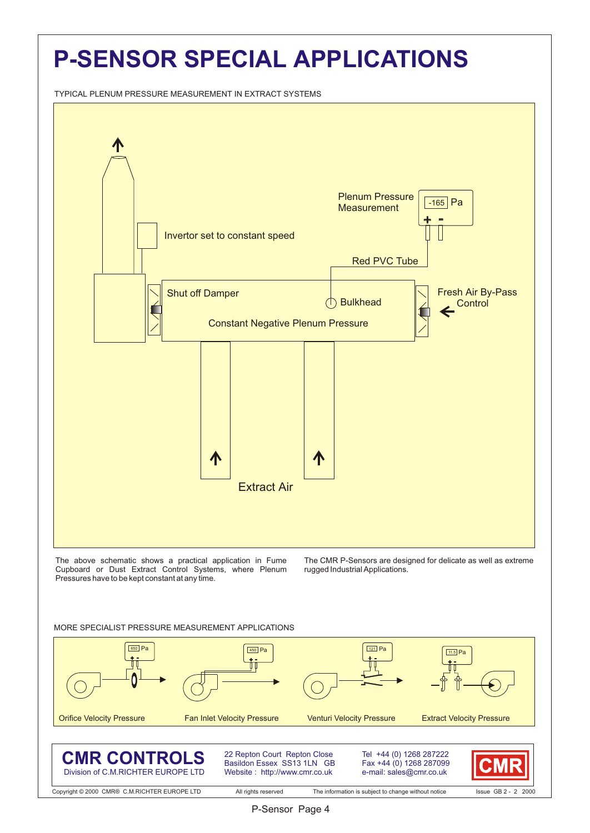## **P-SENSOR SPECIAL APPLICATIONS**

TYPICAL PLENUM PRESSURE MEASUREMENT IN EXTRACT SYSTEMS



#### MORE SPECIALIST PRESSURE MEASUREMENT APPLICATIONS

Division of C.M.RICHTER EUROPE LTD





e-mail: sales@cmr.co.uk

Website : http://www.cmr.co.uk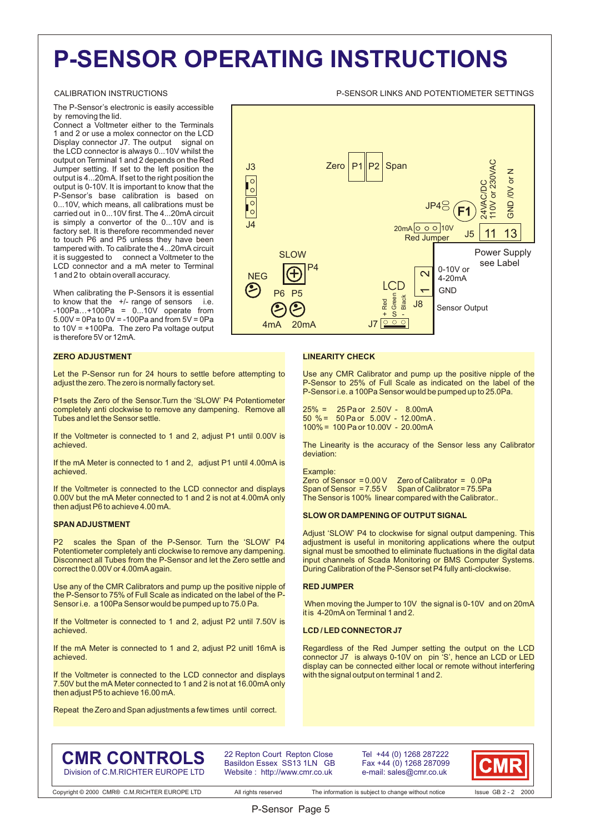## **P-SENSOR OPERATING INSTRUCTIONS**

#### CALIBRATION INSTRUCTIONS P-SENSOR LINKS AND POTENTIOMETER SETTINGS

The P-Sensor's electronic is easily accessible by removing the lid.

Connect a Voltmeter either to the Terminals 1 and 2 or use a molex connector on the LCD Display connector J7. The output signal on the LCD connector is always 0...10V whilst the output on Terminal 1 and 2 depends on the Red Jumper setting. If set to the left position the output is 4...20mA. If set to the right position the output is 0-10V. It is important to know that the P-Sensor's base calibration is based on 0...10V, which means, all calibrations must be carried out in 0...10V first. The 4...20mA circuit is simply a convertor of the 0...10V and is factory set. It is therefore recommended never to touch P6 and P5 unless they have been tampered with. To calibrate the 4...20mA circuit it is suggested to connect a Voltmeter to the LCD connector and a mA meter to Terminal 1 and 2 to obtain overall accuracy.

When calibrating the P-Sensors it is essential to know that the +/- range of sensors i.e. -100Pa…+100Pa = 0...10V operate from 5.00V = 0Pa to 0V = -100Pa and from 5V = 0Pa to 10V = +100Pa. The zero Pa voltage output is therefore 5V or 12mA.

#### **ZERO ADJUSTMENT**

Let the P-Sensor run for 24 hours to settle before attempting to adjust the zero. The zero is normally factory set.

P1sets the Zero of the Sensor.Turn the 'SLOW' P4 Potentiometer completely anti clockwise to remove any dampening. Remove all Tubes and let the Sensor settle.

If the Voltmeter is connected to 1 and 2, adjust P1 until 0.00V is achieved.

If the mA Meter is connected to 1 and 2, adjust P1 until 4.00mA is achieved.

If the Voltmeter is connected to the LCD connector and displays 0.00V but the mA Meter connected to 1 and 2 is not at 4.00mA only then adjust P6 to achieve 4.00 mA.

#### **SPAN ADJUSTMENT**

P2 scales the Span of the P-Sensor. Turn the 'SLOW' P4 Potentiometer completely anti clockwise to remove any dampening. Disconnect all Tubes from the P-Sensor and let the Zero settle and correct the 0.00V or 4.00mA again.

Use any of the CMR Calibrators and pump up the positive nipple of the P-Sensor to 75% of Full Scale as indicated on the label of the P-Sensor i.e. a 100Pa Sensor would be pumped up to 75.0 Pa.

If the Voltmeter is connected to 1 and 2, adjust P2 until 7.50V is achieved.

If the mA Meter is connected to 1 and 2, adjust P2 unitl 16mA is achieved.

If the Voltmeter is connected to the LCD connector and displays 7.50V but the mA Meter connected to 1 and 2 is not at 16.00mA only then adjust P5 to achieve 16.00 mA.

Repeat the Zero and Span adjustments a few times until correct.



#### **LINEARITY CHECK**

Use any CMR Calibrator and pump up the positive nipple of the P-Sensor to 25% of Full Scale as indicated on the label of the P-Sensor i.e. a 100Pa Sensor would be pumped up to 25.0Pa.

25% = 25 Pa or 2.50V - 8.00mA 50 % = 50 Pa or 5.00V - 12.00mA . 100% = 100 Pa or 10.00V - 20.00mA

The Linearity is the accuracy of the Sensor less any Calibrator deviation:

Example:<br>Zero of Sensor = 0.00 V Zero of Calibrator =  $0.0 Pa$ Span of Sensor = 7.55 V Span of Calibrator = 75.5Pa The Sensor is 100% linear compared with the Calibrator..

#### **SLOW OR DAMPENING OF OUTPUT SIGNAL**

Adjust 'SLOW' P4 to clockwise for signal output dampening. This adjustment is useful in monitoring applications where the output signal must be smoothed to eliminate fluctuations in the digital data input channels of Scada Monitoring or BMS Computer Systems. During Calibration of the P-Sensor set P4 fully anti-clockwise.

#### **RED JUMPER**

 When moving the Jumper to 10V the signal is 0-10V and on 20mA it is 4-20mA on Terminal 1 and 2.

#### **LCD / LED CONNECTOR J7**

Regardless of the Red Jumper setting the output on the LCD connector J7 is always 0-10V on pin 'S', hence an LCD or LED display can be connected either local or remote without interfering with the signal output on terminal 1 and 2.

### **CMR CONTROLS** Division of C.M.RICHTER EUROPE LTD

22 Repton Court Repton Close Basildon Essex SS13 1LN GB Website : http://www.cmr.co.uk

P-Sensor Page 5

Tel +44 (0) 1268 287222 Fax +44 (0) 1268 287099 e-mail: sales@cmr.co.uk



Copyright © 2000 CMR® C.M.RICHTER EUROPE LTD All rights reserved The information is subject to change without notice Issue GB 2 - 2 2000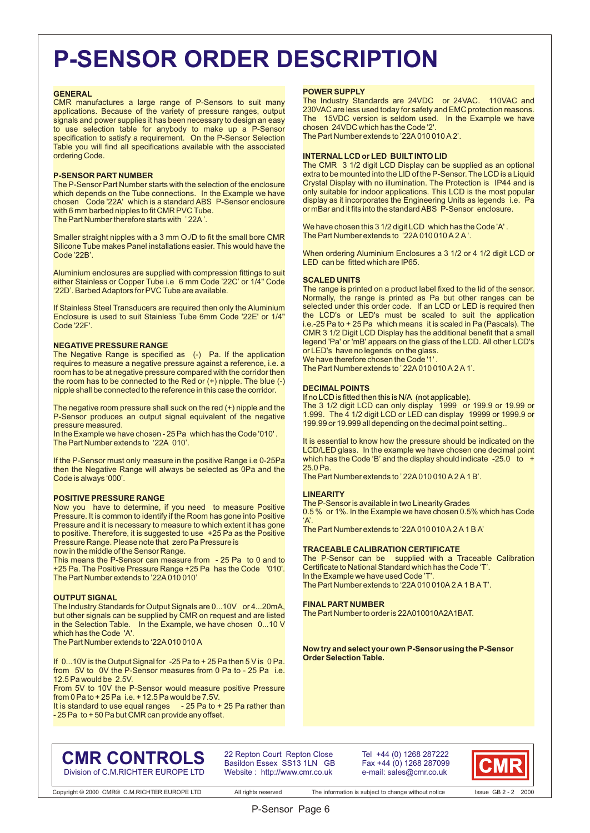### **P-SENSOR ORDER DESCRIPTION**

#### **GENERAL**

CMR manufactures a large range of P-Sensors to suit many applications. Because of the variety of pressure ranges, output signals and power supplies it has been necessary to design an easy to use selection table for anybody to make up a P-Sensor specification to satisfy a requirement. On the P-Sensor Selection Table you will find all specifications available with the associated ordering Code.

#### **P-SENSOR PART NUMBER**

The P-Sensor Part Number starts with the selection of the enclosure which depends on the Tube connections. In the Example we have chosen Code '22A' which is a standard ABS P-Sensor enclosure with 6 mm barbed nipples to fit CMR PVC Tube. The Part Number therefore starts with ' 22A '.

Smaller straight nipples with a 3 mm O./D to fit the small bore CMR Silicone Tube makes Panel installations easier. This would have the Code '22B'.

Aluminium enclosures are supplied with compression fittings to suit either Stainless or Copper Tube i.e 6 mm Code '22C' or 1/4" Code '22D'. Barbed Adaptors for PVC Tube are available.

If Stainless Steel Transducers are required then only the Aluminium Enclosure is used to suit Stainless Tube 6mm Code '22E' or 1/4" Code '22F'.

#### **NEGATIVE PRESSURE RANGE**

The Negative Range is specified as (-) Pa. If the application requires to measure a negative pressure against a reference, i.e. a room has to be at negative pressure compared with the corridor then the room has to be connected to the Red or (+) nipple. The blue (-) nipple shall be connected to the reference in this case the corridor.

The negative room pressure shall suck on the red (+) nipple and the P-Sensor produces an output signal equivalent of the negative pressure measured.

In the Example we have chosen - 25 Pa which has the Code '010' . The Part Number extends to '22A 010'.

If the P-Sensor must only measure in the positive Range i.e 0-25Pa then the Negative Range will always be selected as 0Pa and the Code is always '000'.

#### **POSITIVE PRESSURE RANGE**

Now you have to determine, if you need to measure Positive Pressure. It is common to identify if the Room has gone into Positive Pressure and it is necessary to measure to which extent it has gone to positive. Therefore, it is suggested to use +25 Pa as the Positive Pressure Range. Please note that zero Pa Pressure is

now in the middle of the Sensor Range.

This means the P-Sensor can measure from - 25 Pa to 0 and to +25 Pa. The Positive Pressure Range +25 Pa has the Code '010'. The Part Number extends to '22A 010 010'

#### **OUTPUT SIGNAL**

The Industry Standards for Output Signals are 0...10V or 4...20mA, but other signals can be supplied by CMR on request and are listed in the Selection Table. In the Example, we have chosen 0...10 V which has the Code 'A'.

The Part Number extends to '22A 010 010 A

If 0...10V is the Output Signal for -25 Pa to + 25 Pa then 5 V is 0 Pa. from 5V to 0V the P-Sensor measures from 0 Pa to - 25 Pa i.e. 12.5 Pa would be 2.5V.

From 5V to 10V the P-Sensor would measure positive Pressure from 0 Pa to + 25 Pa i.e. + 12.5 Pa would be 7.5V.<br>It is standard to use equal ranges - 25 Pa to + 25 Pa rather than

It is standard to use equal ranges - 25 Pa to + 50 Pa but CMR can provide any offset.

#### **POWER SUPPLY**

The Industry Standards are 24VDC or 24VAC. 110VAC and 230VAC are less used today for safety and EMC protection reasons. The 15VDC version is seldom used. In the Example we have chosen 24VDC which has the Code '2'.

The Part Number extends to '22A 010 010 A 2'.

#### **INTERNAL LCD or LED BUILT INTO LID**

The CMR 3 1/2 digit LCD Display can be supplied as an optional extra to be mounted into the LID of the P-Sensor. The LCD is a Liquid Crystal Display with no illumination. The Protection is IP44 and is only suitable for indoor applications. This LCD is the most popular display as it incorporates the Engineering Units as legends i.e. Pa or mBar and it fits into the standard ABS P-Sensor enclosure.

We have chosen this 3 1/2 digit LCD which has the Code 'A' . The Part Number extends to '22A 010 010 A 2 A '.

When ordering Aluminium Enclosures a 3 1/2 or 4 1/2 digit LCD or LED can be fitted which are IP65.

#### **SCALED UNITS**

The range is printed on a product label fixed to the lid of the sensor. Normally, the range is printed as Pa but other ranges can be selected under this order code. If an LCD or LED is required then the LCD's or LED's must be scaled to suit the application i.e.-25 Pa to + 25 Pa which means it is scaled in Pa (Pascals). The CMR 3 1/2 Digit LCD Display has the additional benefit that a small legend 'Pa' or 'mB' appears on the glass of the LCD. All other LCD's or LED's have no legends on the glass.

We have therefore chosen the Code '1

The Part Number extends to ' 22A 010 010 A 2 A 1'

#### **DECIMAL POINTS**

If no LCD is fitted then this is N/A (not applicable).

The 3 1/2 digit LCD can only display 1999 or 199.9 or 19.99 or 1.999. The 4 1/2 digit LCD or LED can display 19999 or 1999.9 or 199.99 or 19.999 all depending on the decimal point setting..

It is essential to know how the pressure should be indicated on the LCD/LED glass. In the example we have chosen one decimal point which has the Code 'B' and the display should indicate -25.0 to + 25.0 Pa.

The Part Number extends to ' 22A 010 010 A 2 A 1 B'.

#### **LINEARITY**

The P-Sensor is available in two Linearity Grades

0.5 % or 1%. In the Example we have chosen 0.5% which has Code  $\Delta'$ 

The Part Number extends to '22A 010 010 A 2 A 1 B A'

#### **TRACEABLE CALIBRATION CERTIFICATE**

The P-Sensor can be supplied with a Traceable Calibration Certificate to National Standard which has the Code 'T'. In the Example we have used Code 'T'. The Part Number extends to '22A 010 010A 2 A 1 B A T'.

#### **FINAL PART NUMBER**

The Part Number to order is 22A010010A2A1BAT.

**Now try and select your own P-Sensor using the P-Sensor Order Selection Table.**

### **CMR CONTROLS** Division of C.M.RICHTER EUROPE LTD

22 Repton Court Repton Close Basildon Essex SS13 1LN GB Website : http://www.cmr.co.uk

Tel +44 (0) 1268 287222 Fax +44 (0) 1268 287099 e-mail: sales@cmr.co.uk

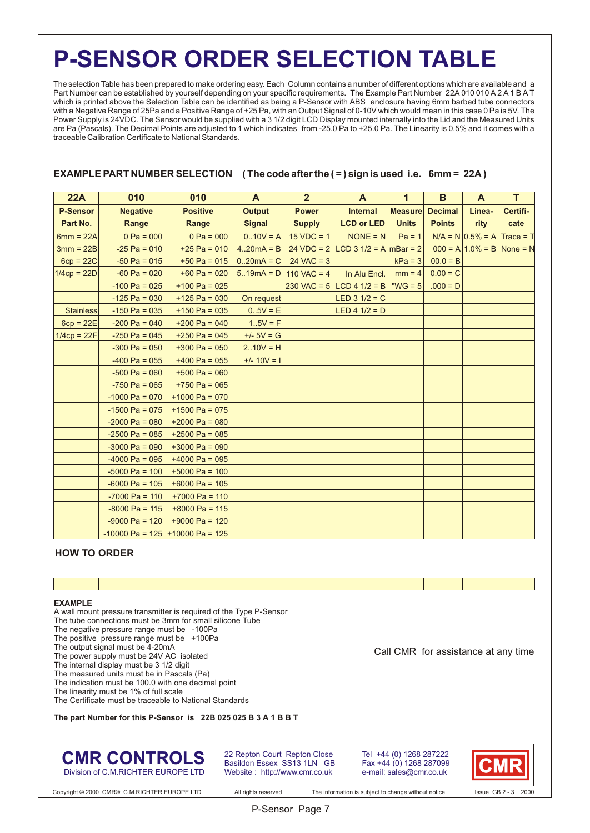### **P-SENSOR ORDER SELECTION TABLE**

The selection Table has been prepared to make ordering easy. Each Column contains a number of different options which are available and a Part Number can be established by yourself depending on your specific requirements. The Example Part Number 22A 010 010 A 2 A 1 B A T which is printed above the Selection Table can be identified as being a P-Sensor with ABS enclosure having 6mm barbed tube connectors with a Negative Range of 25Pa and a Positive Range of +25 Pa, with an Output Signal of 0-10V which would mean in this case 0 Pa is 5V. The Power Supply is 24VDC. The Sensor would be supplied with a 3 1/2 digit LCD Display mounted internally into the Lid and the Measured Units are Pa (Pascals). The Decimal Points are adjusted to 1 which indicates from -25.0 Pa to +25.0 Pa. The Linearity is 0.5% and it comes with a traceable Calibration Certificate to National Standards.

### **EXAMPLE PART NUMBER SELECTION** (The code after the  $(=)$  sign is used i.e. 6mm = 22A)

| 22A              | 010              | 010                               | A             | $\overline{2}$          | $\mathbf{A}$                          | $\mathbf{1}$   | B              | $\mathbf{A}$                     | $\overline{T}$ |
|------------------|------------------|-----------------------------------|---------------|-------------------------|---------------------------------------|----------------|----------------|----------------------------------|----------------|
| <b>P-Sensor</b>  | <b>Negative</b>  | <b>Positive</b>                   | <b>Output</b> | <b>Power</b>            | <b>Internal</b>                       | <b>Measure</b> | <b>Decimal</b> | Linea-                           | Certifi-       |
| Part No.         | Range            | Range                             | <b>Signal</b> | <b>Supply</b>           | <b>LCD or LED</b>                     | <b>Units</b>   | <b>Points</b>  | rity                             | cate           |
| $6mm = 22A$      | $0 Pa = 000$     | $0 Pa = 000$                      | $0.10V = A$   | $15 VDC = 1$            | $NOTE = N$                            | $Pa = 1$       |                | $N/A = N   0.5\% = A  $          | $Trace = T$    |
| $3mm = 22B$      | $-25$ Pa = 010   | +25 Pa = 010                      | $4.20mA = B$  |                         | 24 VDC = 2 LCD 3 1/2 = A $ mBar = 2 $ |                |                | $000 = A   1.0\% = B  $ None = N |                |
| $6cp = 22C$      | $-50$ Pa = 015   | +50 Pa = $015$                    | $0.20mA = C$  | $24 \text{ VAC} = 3$    |                                       | $kPa = 3$      | $00.0 = B$     |                                  |                |
| $1/4cp = 22D$    | $-60$ Pa = 020   | $+60$ Pa = 020                    |               | 519mA = $D$ 110 VAC = 4 | In Alu Encl.                          | $mm = 4$       | $0.00 = C$     |                                  |                |
|                  | $-100$ Pa = 025  | $+100$ Pa = 025                   |               |                         | 230 VAC = 5 LCD 4 1/2 = B             | " $WG = 5$     | $.000 = D$     |                                  |                |
|                  | $-125$ Pa = 030  | $+125$ Pa = 030                   | On request    |                         | LED $3 \frac{1}{2} = C$               |                |                |                                  |                |
| <b>Stainless</b> | $-150$ Pa = 035  | $+150$ Pa = 035                   | $0.5V = E$    |                         | LED 4 $1/2 = D$                       |                |                |                                  |                |
| $6cp = 22E$      | $-200$ Pa = 040  | $+200$ Pa = 040                   | $1.5V = F$    |                         |                                       |                |                |                                  |                |
| $1/4cp = 22F$    | $-250$ Pa = 045  | $+250$ Pa = 045                   | $+/- 5V = G$  |                         |                                       |                |                |                                  |                |
|                  | $-300$ Pa = 050  | $+300$ Pa = 050                   | $2.10V = H$   |                         |                                       |                |                |                                  |                |
|                  | $-400$ Pa = 055  | $+400$ Pa = 055                   | $+/- 10V = 1$ |                         |                                       |                |                |                                  |                |
|                  | $-500$ Pa = 060  | $+500$ Pa = 060                   |               |                         |                                       |                |                |                                  |                |
|                  | $-750$ Pa = 065  | $+750$ Pa = 065                   |               |                         |                                       |                |                |                                  |                |
|                  | $-1000$ Pa = 070 | $+1000$ Pa = 070                  |               |                         |                                       |                |                |                                  |                |
|                  | $-1500$ Pa = 075 | $+1500$ Pa = 075                  |               |                         |                                       |                |                |                                  |                |
|                  | $-2000$ Pa = 080 | $+2000$ Pa = 080                  |               |                         |                                       |                |                |                                  |                |
|                  | $-2500$ Pa = 085 | $+2500$ Pa = 085                  |               |                         |                                       |                |                |                                  |                |
|                  | $-3000$ Pa = 090 | $+3000$ Pa = 090                  |               |                         |                                       |                |                |                                  |                |
|                  | $-4000$ Pa = 095 | $+4000$ Pa = 095                  |               |                         |                                       |                |                |                                  |                |
|                  | $-5000$ Pa = 100 | $+5000$ Pa = 100                  |               |                         |                                       |                |                |                                  |                |
|                  | $-6000$ Pa = 105 | $+6000$ Pa = 105                  |               |                         |                                       |                |                |                                  |                |
|                  | $-7000$ Pa = 110 | $+7000$ Pa = 110                  |               |                         |                                       |                |                |                                  |                |
|                  | $-8000$ Pa = 115 | $+8000$ Pa = 115                  |               |                         |                                       |                |                |                                  |                |
|                  | $-9000$ Pa = 120 | $+9000$ Pa = 120                  |               |                         |                                       |                |                |                                  |                |
|                  |                  | $-10000$ Pa = 125 +10000 Pa = 125 |               |                         |                                       |                |                |                                  |                |

### **HOW TO ORDER**

#### **EXAMPLE**

A wall mount pressure transmitter is required of the Type P-Sensor

- The tube connections must be 3mm for small silicone Tube
- The negative pressure range must be -100Pa
- The positive pressure range must be +100Pa
- The output signal must be 4-20mA
- The power supply must be 24V AC isolated
- The internal display must be 3 1/2 digit
- The measured units must be in Pascals (Pa) The indication must be 100.0 with one decimal point
- The linearity must be 1% of full scale

The Certificate must be traceable to National Standards

**The part Number for this P-Sensor is 22B 025 025 B 3 A 1 B B T** 

### **CMR CONTROLS** Division of C.M.RICHTER EUROPE LTD

22 Repton Court Repton Close Basildon Essex SS13 1LN GB Website : http://www.cmr.co.uk

Tel +44 (0) 1268 287222 Fax +44 (0) 1268 287099 e-mail: sales@cmr.co.uk



Call CMR for assistance at any time

Copyright © 2000 CMR® C.M.RICHTER EUROPE LTD All rights reserved The information is subject to change without notice Issue GB 2 - 3 2000